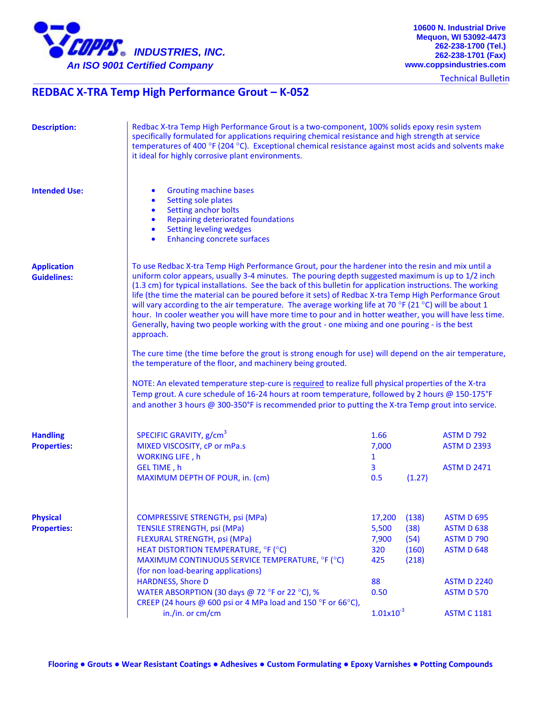

**10600 N. Industrial Drive Mequon, WI 53092-4473 262-238-1700 (Tel.) 262-238-1701 (Fax) www.coppsindustries.com**

Technical Bulletin

## **REDBAC X-TRA Temp High Performance Grout – K-052**

| <b>Description:</b>                      | Redbac X-tra Temp High Performance Grout is a two-component, 100% solids epoxy resin system<br>specifically formulated for applications requiring chemical resistance and high strength at service<br>temperatures of 400 °F (204 °C). Exceptional chemical resistance against most acids and solvents make<br>it ideal for highly corrosive plant environments.                                                                                                                                                                                                                                                                                                                                                                                                                                                                                                                                                                                                                                                                                                                                                                                                                                                                                           |                                                                        |                                         |                                                                                                                                     |
|------------------------------------------|------------------------------------------------------------------------------------------------------------------------------------------------------------------------------------------------------------------------------------------------------------------------------------------------------------------------------------------------------------------------------------------------------------------------------------------------------------------------------------------------------------------------------------------------------------------------------------------------------------------------------------------------------------------------------------------------------------------------------------------------------------------------------------------------------------------------------------------------------------------------------------------------------------------------------------------------------------------------------------------------------------------------------------------------------------------------------------------------------------------------------------------------------------------------------------------------------------------------------------------------------------|------------------------------------------------------------------------|-----------------------------------------|-------------------------------------------------------------------------------------------------------------------------------------|
| <b>Intended Use:</b>                     | <b>Grouting machine bases</b><br>$\bullet$<br>Setting sole plates<br>$\bullet$<br>Setting anchor bolts<br>$\bullet$<br>Repairing deteriorated foundations<br>$\bullet$<br><b>Setting leveling wedges</b><br>$\bullet$<br><b>Enhancing concrete surfaces</b><br>$\bullet$                                                                                                                                                                                                                                                                                                                                                                                                                                                                                                                                                                                                                                                                                                                                                                                                                                                                                                                                                                                   |                                                                        |                                         |                                                                                                                                     |
| <b>Application</b><br><b>Guidelines:</b> | To use Redbac X-tra Temp High Performance Grout, pour the hardener into the resin and mix until a<br>uniform color appears, usually 3-4 minutes. The pouring depth suggested maximum is up to 1/2 inch<br>(1.3 cm) for typical installations. See the back of this bulletin for application instructions. The working<br>life (the time the material can be poured before it sets) of Redbac X-tra Temp High Performance Grout<br>will vary according to the air temperature. The average working life at 70 °F (21 °C) will be about 1<br>hour. In cooler weather you will have more time to pour and in hotter weather, you will have less time.<br>Generally, having two people working with the grout - one mixing and one pouring - is the best<br>approach.<br>The cure time (the time before the grout is strong enough for use) will depend on the air temperature,<br>the temperature of the floor, and machinery being grouted.<br>NOTE: An elevated temperature step-cure is required to realize full physical properties of the X-tra<br>Temp grout. A cure schedule of 16-24 hours at room temperature, followed by 2 hours @ 150-175°F<br>and another 3 hours @ 300-350°F is recommended prior to putting the X-tra Temp grout into service. |                                                                        |                                         |                                                                                                                                     |
| <b>Handling</b><br><b>Properties:</b>    | SPECIFIC GRAVITY, g/cm <sup>3</sup><br>MIXED VISCOSITY, cP or mPa.s<br><b>WORKING LIFE, h</b><br>GEL TIME, h<br>MAXIMUM DEPTH OF POUR, in. (cm)                                                                                                                                                                                                                                                                                                                                                                                                                                                                                                                                                                                                                                                                                                                                                                                                                                                                                                                                                                                                                                                                                                            | 1.66<br>7,000<br>$\mathbf{1}$<br>3<br>0.5                              | (1.27)                                  | <b>ASTM D 792</b><br><b>ASTM D 2393</b><br><b>ASTM D 2471</b>                                                                       |
| <b>Physical</b><br><b>Properties:</b>    | <b>COMPRESSIVE STRENGTH, psi (MPa)</b><br><b>TENSILE STRENGTH, psi (MPa)</b><br>FLEXURAL STRENGTH, psi (MPa)<br>HEAT DISTORTION TEMPERATURE, °F (°C)<br>MAXIMUM CONTINUOUS SERVICE TEMPERATURE, °F (°C)<br>(for non load-bearing applications)<br><b>HARDNESS, Shore D</b><br>WATER ABSORPTION (30 days @ 72 °F or 22 °C), %<br>CREEP (24 hours @ 600 psi or 4 MPa load and 150 °F or 66°C),<br>in./in. or cm/cm                                                                                                                                                                                                                                                                                                                                                                                                                                                                                                                                                                                                                                                                                                                                                                                                                                           | 17,200<br>5,500<br>7,900<br>320<br>425<br>88<br>0.50<br>$1.01x10^{-3}$ | (138)<br>(38)<br>(54)<br>(160)<br>(218) | <b>ASTM D 695</b><br>ASTM D 638<br><b>ASTM D 790</b><br>ASTM D 648<br><b>ASTM D 2240</b><br><b>ASTM D 570</b><br><b>ASTM C 1181</b> |